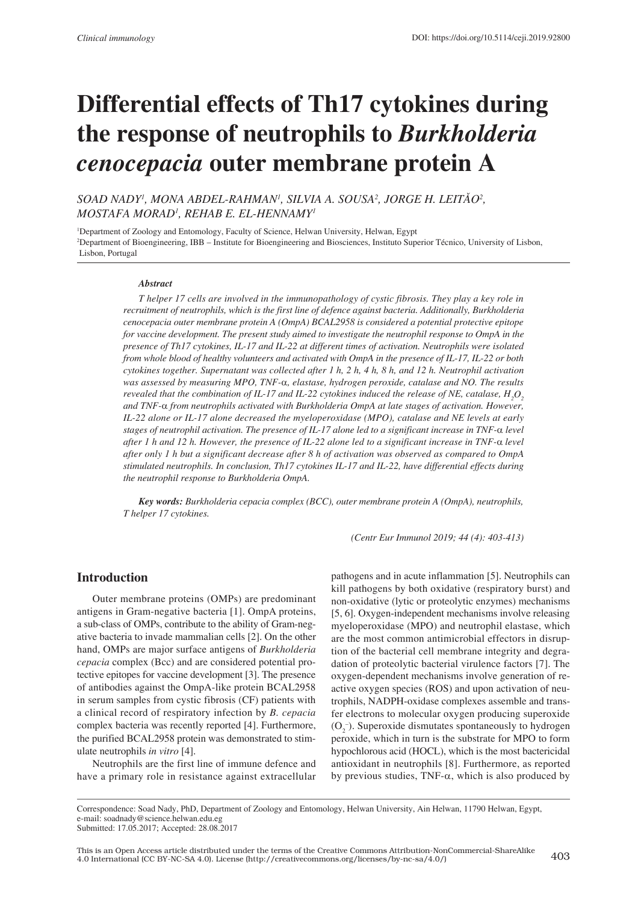# **Differential effects of Th17 cytokines during the response of neutrophils to** *Burkholderia cenocepacia* **outer membrane protein A**

*SOAD NADY1 , MONA ABDEL-RAHMAN1 , SILVIA A. SOUSA2 , JORGE H. LEITÃO<sup>2</sup> , MOSTAFA MORAD1 , REHAB E. EL-HENNAMY1*

1 Department of Zoology and Entomology, Faculty of Science, Helwan University, Helwan, Egypt 2 Department of Bioengineering, IBB – Institute for Bioengineering and Biosciences, Instituto Superior Técnico, University of Lisbon, Lisbon, Portugal

#### *Abstract*

*T helper 17 cells are involved in the immunopathology of cystic fibrosis. They play a key role in recruitment of neutrophils, which is the first line of defence against bacteria. Additionally, Burkholderia cenocepacia outer membrane protein A (OmpA) BCAL2958 is considered a potential protective epitope for vaccine development. The present study aimed to investigate the neutrophil response to OmpA in the presence of Th17 cytokines, IL-17 and IL-22 at different times of activation. Neutrophils were isolated from whole blood of healthy volunteers and activated with OmpA in the presence of IL-17, IL-22 or both cytokines together. Supernatant was collected after 1 h, 2 h, 4 h, 8 h, and 12 h. Neutrophil activation was assessed by measuring MPO, TNF-*α*, elastase, hydrogen peroxide, catalase and NO. The results revealed that the combination of IL-17 and IL-22 cytokines induced the release of NE, catalase,*  $H_{2}O_{2}$ *and TNF-*α *from neutrophils activated with Burkholderia OmpA at late stages of activation. However, IL-22 alone or IL-17 alone decreased the myeloperoxidase (MPO), catalase and NE levels at early stages of neutrophil activation. The presence of IL-17 alone led to a significant increase in TNF-*α *level after 1 h and 12 h. However, the presence of IL-22 alone led to a significant increase in TNF-*α *level after only 1 h but a significant decrease after 8 h of activation was observed as compared to OmpA stimulated neutrophils. In conclusion, Th17 cytokines IL-17 and IL-22, have differential effects during the neutrophil response to Burkholderia OmpA.* 

*Key words: Burkholderia cepacia complex (BCC), outer membrane protein A (OmpA), neutrophils, T helper 17 cytokines.*

*(Centr Eur Immunol 2019; 44 (4): 403-413)*

### **Introduction**

Outer membrane proteins (OMPs) are predominant antigens in Gram-negative bacteria [1]. OmpA proteins, a sub-class of OMPs, contribute to the ability of Gram-negative bacteria to invade mammalian cells [2]. On the other hand, OMPs are major surface antigens of *Burkholderia cepacia* complex (Bcc) and are considered potential protective epitopes for vaccine development [3]. The presence of antibodies against the OmpA-like protein BCAL2958 in serum samples from cystic fibrosis (CF) patients with a clinical record of respiratory infection by *B. cepacia* complex bacteria was recently reported [4]. Furthermore, the purified BCAL2958 protein was demonstrated to stimulate neutrophils *in vitro* [4].

Neutrophils are the first line of immune defence and have a primary role in resistance against extracellular

pathogens and in acute inflammation [5]. Neutrophils can kill pathogens by both oxidative (respiratory burst) and non-oxidative (lytic or proteolytic enzymes) mechanisms [5, 6]. Oxygen-independent mechanisms involve releasing myeloperoxidase (MPO) and neutrophil elastase, which are the most common antimicrobial effectors in disruption of the bacterial cell membrane integrity and degradation of proteolytic bacterial virulence factors [7]. The oxygen-dependent mechanisms involve generation of reactive oxygen species (ROS) and upon activation of neutrophils, NADPH-oxidase complexes assemble and transfer electrons to molecular oxygen producing superoxide  $(O_2^-)$ . Superoxide dismutates spontaneously to hydrogen peroxide, which in turn is the substrate for MPO to form hypochlorous acid (HOCL), which is the most bactericidal antioxidant in neutrophils [8]. Furthermore, as reported by previous studies, TNF- $\alpha$ , which is also produced by

Correspondence: Soad Nady, PhD, Department of Zoology and Entomology, Helwan University, Ain Helwan, 11790 Helwan, Egypt, e-mail: soadnady@science.helwan.edu.eg

Submitted: 17.05.2017; Accepted: 28.08.2017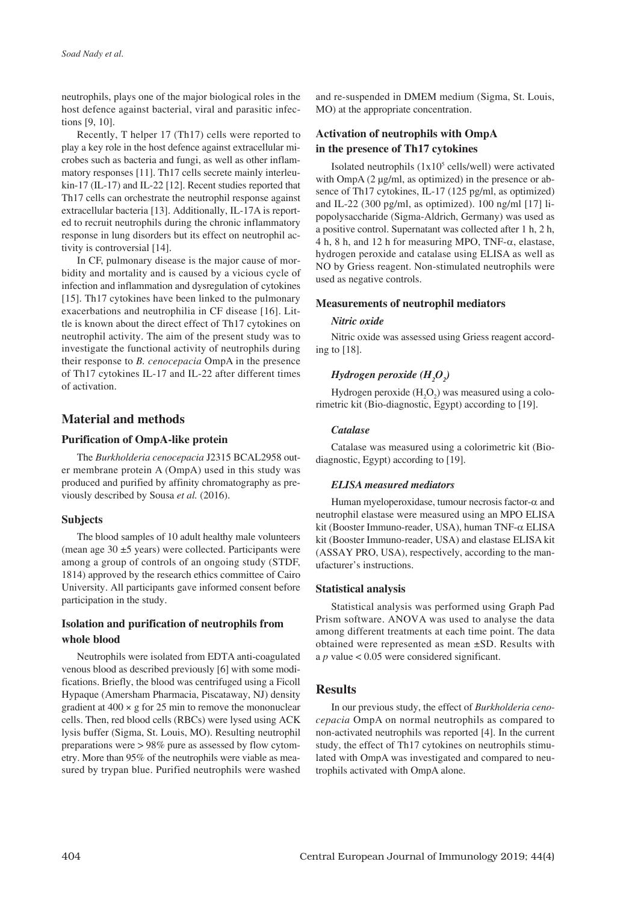neutrophils, plays one of the major biological roles in the host defence against bacterial, viral and parasitic infections [9, 10].

Recently, T helper 17 (Th17) cells were reported to play a key role in the host defence against extracellular microbes such as bacteria and fungi, as well as other inflammatory responses [11]. Th17 cells secrete mainly interleukin-17 (IL-17) and IL-22 [12]. Recent studies reported that Th17 cells can orchestrate the neutrophil response against extracellular bacteria [13]. Additionally, IL-17A is reported to recruit neutrophils during the chronic inflammatory response in lung disorders but its effect on neutrophil activity is controversial [14].

In CF, pulmonary disease is the major cause of morbidity and mortality and is caused by a vicious cycle of infection and inflammation and dysregulation of cytokines [15]. Th17 cytokines have been linked to the pulmonary exacerbations and neutrophilia in CF disease [16]. Little is known about the direct effect of Th17 cytokines on neutrophil activity. The aim of the present study was to investigate the functional activity of neutrophils during their response to *B. cenocepacia* OmpA in the presence of Th17 cytokines IL-17 and IL-22 after different times of activation.

## **Material and methods**

#### **Purification of OmpA-like protein**

The *Burkholderia cenocepacia* J2315 BCAL2958 outer membrane protein A (OmpA) used in this study was produced and purified by affinity chromatography as previously described by Sousa *et al.* (2016).

#### **Subjects**

The blood samples of 10 adult healthy male volunteers (mean age  $30 \pm 5$  years) were collected. Participants were among a group of controls of an ongoing study (STDF, 1814) approved by the research ethics committee of Cairo University. All participants gave informed consent before participation in the study.

## **Isolation and purification of neutrophils from whole blood**

Neutrophils were isolated from EDTA anti-coagulated venous blood as described previously [6] with some modifications. Briefly, the blood was centrifuged using a Ficoll Hypaque (Amersham Pharmacia, Piscataway, NJ) density gradient at  $400 \times g$  for 25 min to remove the mononuclear cells. Then, red blood cells (RBCs) were lysed using ACK lysis buffer (Sigma, St. Louis, MO). Resulting neutrophil preparations were > 98% pure as assessed by flow cytometry. More than 95% of the neutrophils were viable as measured by trypan blue. Purified neutrophils were washed and re-suspended in DMEM medium (Sigma, St. Louis, MO) at the appropriate concentration.

## **Activation of neutrophils with OmpA in the presence of Th17 cytokines**

Isolated neutrophils  $(1x10<sup>5</sup>$  cells/well) were activated with OmpA (2 µg/ml, as optimized) in the presence or absence of Th17 cytokines, IL-17 (125 pg/ml, as optimized) and IL-22 (300 pg/ml, as optimized). 100 ng/ml [17] lipopolysaccharide (Sigma-Aldrich, Germany) was used as a positive control. Supernatant was collected after 1 h, 2 h, 4 h, 8 h, and 12 h for measuring MPO, TNF-α, elastase, hydrogen peroxide and catalase using ELISA as well as NO by Griess reagent. Non-stimulated neutrophils were used as negative controls.

#### **Measurements of neutrophil mediators**

#### *Nitric oxide*

Nitric oxide was assessed using Griess reagent according to [18].

# *Hydrogen peroxide (H<sub>2</sub>O<sub>2</sub>)*

Hydrogen peroxide  $(H_2O_2)$  was measured using a colorimetric kit (Bio-diagnostic, Egypt) according to [19].

#### *Catalase*

Catalase was measured using a colorimetric kit (Biodiagnostic, Egypt) according to [19].

#### *ELISA measured mediators*

Human myeloperoxidase, tumour necrosis factor-α and neutrophil elastase were measured using an MPO ELISA kit (Booster Immuno-reader, USA), human TNF-α ELISA kit (Booster Immuno-reader, USA) and elastase ELISA kit (ASSAY PRO, USA), respectively, according to the manufacturer's instructions.

#### **Statistical analysis**

Statistical analysis was performed using Graph Pad Prism software. ANOVA was used to analyse the data among different treatments at each time point. The data obtained were represented as mean ±SD. Results with a *p* value < 0.05 were considered significant.

## **Results**

In our previous study, the effect of *Burkholderia cenocepacia* OmpA on normal neutrophils as compared to non-activated neutrophils was reported [4]. In the current study, the effect of Th17 cytokines on neutrophils stimulated with OmpA was investigated and compared to neutrophils activated with OmpA alone.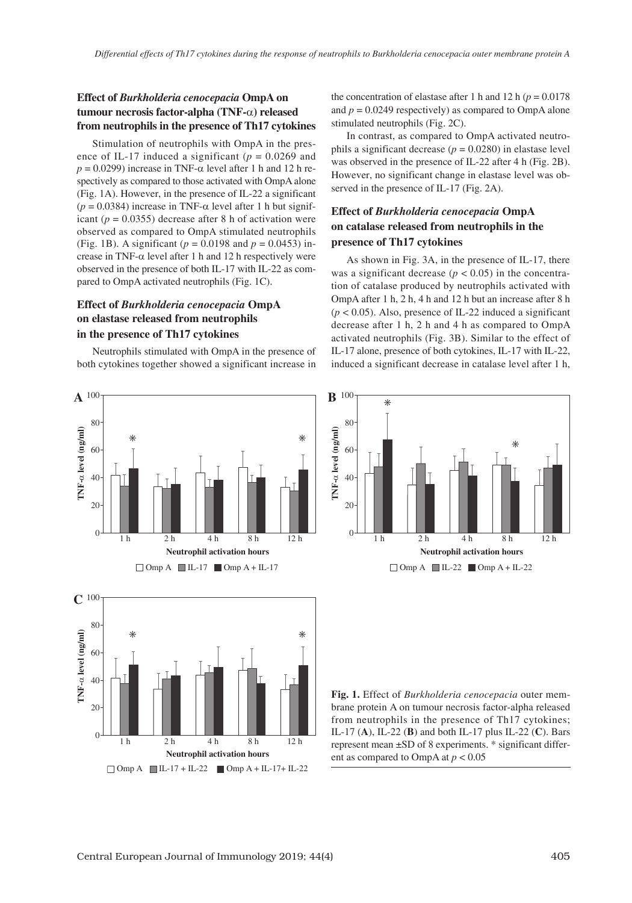## **Effect of** *Burkholderia cenocepacia* **OmpA on tumour necrosis factor-alpha (TNF-**α**) released from neutrophils in the presence of Th17 cytokines**

Stimulation of neutrophils with OmpA in the presence of IL-17 induced a significant ( $p = 0.0269$  and  $p = 0.0299$ ) increase in TNF- $\alpha$  level after 1 h and 12 h respectively as compared to those activated with OmpA alone (Fig. 1A). However, in the presence of IL-22 a significant ( $p = 0.0384$ ) increase in TNF- $\alpha$  level after 1 h but significant ( $p = 0.0355$ ) decrease after 8 h of activation were observed as compared to OmpA stimulated neutrophils (Fig. 1B). A significant ( $p = 0.0198$  and  $p = 0.0453$ ) increase in TNF- $\alpha$  level after 1 h and 12 h respectively were observed in the presence of both IL-17 with IL-22 as compared to OmpA activated neutrophils (Fig. 1C).

## **Effect of** *Burkholderia cenocepacia* **OmpA on elastase released from neutrophils in the presence of Th17 cytokines**

Neutrophils stimulated with OmpA in the presence of both cytokines together showed a significant increase in the concentration of elastase after 1 h and 12 h  $(p = 0.0178)$ and  $p = 0.0249$  respectively) as compared to OmpA alone stimulated neutrophils (Fig. 2C).

In contrast, as compared to OmpA activated neutrophils a significant decrease  $(p = 0.0280)$  in elastase level was observed in the presence of IL-22 after 4 h (Fig. 2B). However, no significant change in elastase level was observed in the presence of IL-17 (Fig. 2A).

## **Effect of** *Burkholderia cenocepacia* **OmpA on catalase released from neutrophils in the presence of Th17 cytokines**

As shown in Fig. 3A, in the presence of IL-17, there was a significant decrease  $(p < 0.05)$  in the concentration of catalase produced by neutrophils activated with OmpA after 1 h, 2 h, 4 h and 12 h but an increase after 8 h  $(p < 0.05)$ . Also, presence of IL-22 induced a significant decrease after 1 h, 2 h and 4 h as compared to OmpA activated neutrophils (Fig. 3B). Similar to the effect of IL-17 alone, presence of both cytokines, IL-17 with IL-22, induced a significant decrease in catalase level after 1 h,



 $\Box$  Omp A  $\Box$  IL-17 + IL-22  $\Box$  Omp A + IL-17 + IL-22



**Fig. 1.** Effect of *Burkholderia cenocepacia* outer membrane protein A on tumour necrosis factor-alpha released from neutrophils in the presence of Th17 cytokines; IL-17 (**A**), IL-22 (**B**) and both IL-17 plus IL-22 (**C**). Bars represent mean ±SD of 8 experiments. \* significant different as compared to OmpA at *p* < 0.05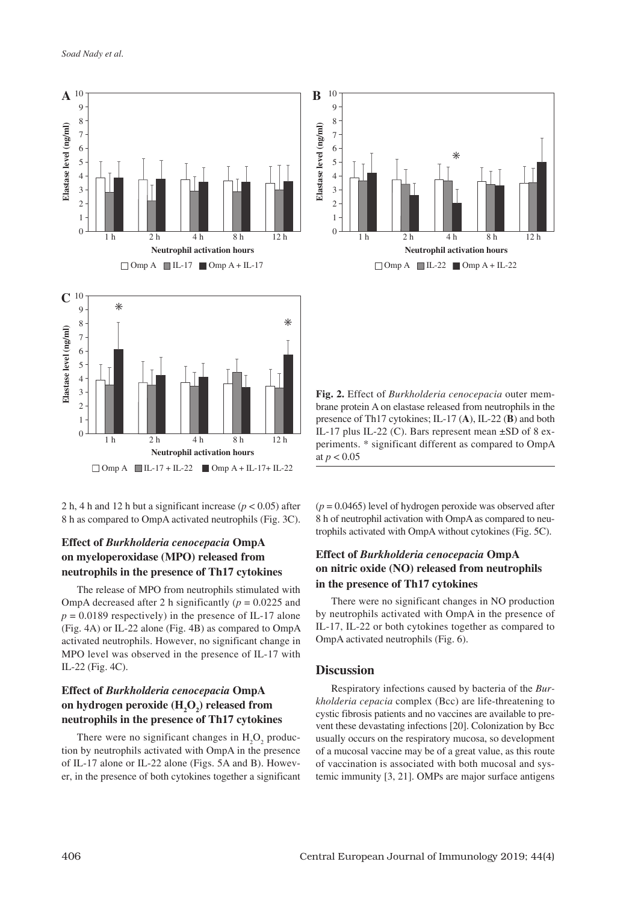

2 h, 4 h and 12 h but a significant increase ( $p < 0.05$ ) after 8 h as compared to OmpA activated neutrophils (Fig. 3C).

## **Effect of** *Burkholderia cenocepacia* **OmpA on myeloperoxidase (MPO) released from neutrophils in the presence of Th17 cytokines**

The release of MPO from neutrophils stimulated with OmpA decreased after 2 h significantly  $(p = 0.0225$  and  $p = 0.0189$  respectively) in the presence of IL-17 alone (Fig. 4A) or IL-22 alone (Fig. 4B) as compared to OmpA activated neutrophils. However, no significant change in MPO level was observed in the presence of IL-17 with IL-22 (Fig. 4C).

## **Effect of** *Burkholderia cenocepacia* **OmpA**  on hydrogen peroxide (H<sub>2</sub>O<sub>2</sub>) released from **neutrophils in the presence of Th17 cytokines**

There were no significant changes in  $H_2O_2$  production by neutrophils activated with OmpA in the presence of IL-17 alone or IL-22 alone (Figs. 5A and B). However, in the presence of both cytokines together a significant



**Fig. 2.** Effect of *Burkholderia cenocepacia* outer membrane protein A on elastase released from neutrophils in the presence of Th17 cytokines; IL-17 (**A**), IL-22 (**B**) and both IL-17 plus IL-22 (C). Bars represent mean ±SD of 8 experiments. \* significant different as compared to OmpA at  $p < 0.05$ 

 $(p = 0.0465)$  level of hydrogen peroxide was observed after 8 h of neutrophil activation with OmpA as compared to neutrophils activated with OmpA without cytokines (Fig. 5C).

## **Effect of** *Burkholderia cenocepacia* **OmpA on nitric oxide (NO) released from neutrophils in the presence of Th17 cytokines**

There were no significant changes in NO production by neutrophils activated with OmpA in the presence of IL-17, IL-22 or both cytokines together as compared to OmpA activated neutrophils (Fig. 6).

#### **Discussion**

Respiratory infections caused by bacteria of the *Burkholderia cepacia* complex (Bcc) are life-threatening to cystic fibrosis patients and no vaccines are available to prevent these devastating infections [20]. Colonization by Bcc usually occurs on the respiratory mucosa, so development of a mucosal vaccine may be of a great value, as this route of vaccination is associated with both mucosal and systemic immunity [3, 21]. OMPs are major surface antigens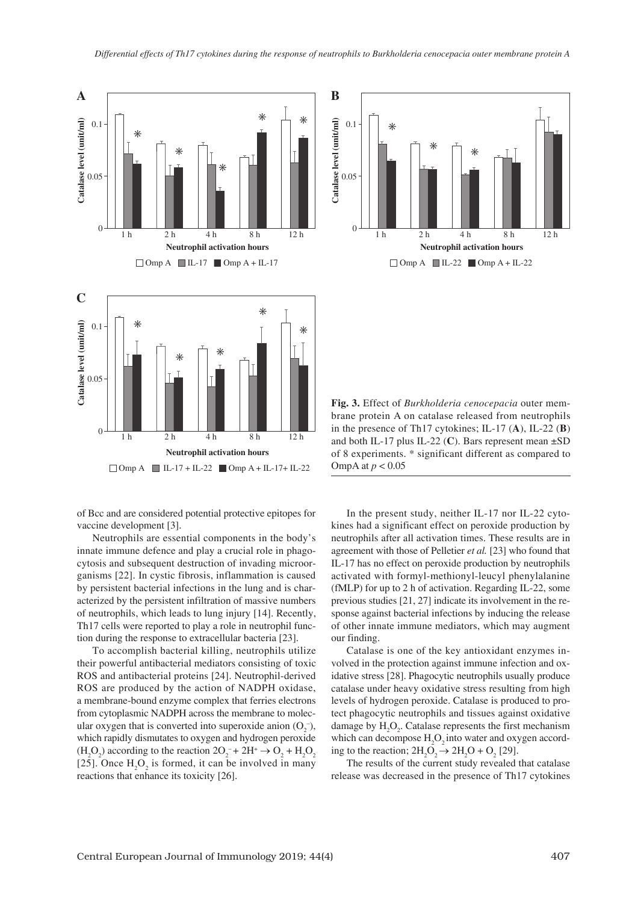



brane protein A on catalase released from neutrophils in the presence of Th17 cytokines; IL-17 (**A**), IL-22 (**B**) and both IL-17 plus IL-22 (**C**). Bars represent mean ±SD of 8 experiments. \* significant different as compared to OmpA at *p* < 0.05

**Fig. 3.** Effect of *Burkholderia cenocepacia* outer mem-

of Bcc and are considered potential protective epitopes for vaccine development [3].

Neutrophils are essential components in the body's innate immune defence and play a crucial role in phagocytosis and subsequent destruction of invading microorganisms [22]. In cystic fibrosis, inflammation is caused by persistent bacterial infections in the lung and is characterized by the persistent infiltration of massive numbers of neutrophils, which leads to lung injury [14]. Recently, Th17 cells were reported to play a role in neutrophil function during the response to extracellular bacteria [23].

To accomplish bacterial killing, neutrophils utilize their powerful antibacterial mediators consisting of toxic ROS and antibacterial proteins [24]. Neutrophil-derived ROS are produced by the action of NADPH oxidase, a membrane-bound enzyme complex that ferries electrons from cytoplasmic NADPH across the membrane to molecular oxygen that is converted into superoxide anion  $(O_2^-)$ , which rapidly dismutates to oxygen and hydrogen peroxide  $(H_2O_2)$  according to the reaction  $2O_2^- + 2H^+ \rightarrow O_2 + H_2O_2$ [25]. Once  $H_2O_2$  is formed, it can be involved in many reactions that enhance its toxicity [26].

In the present study, neither IL-17 nor IL-22 cytokines had a significant effect on peroxide production by neutrophils after all activation times. These results are in agreement with those of Pelletier *et al.* [23] who found that IL-17 has no effect on peroxide production by neutrophils activated with formyl-methionyl-leucyl phenylalanine (fMLP) for up to 2 h of activation. Regarding IL-22, some previous studies [21, 27] indicate its involvement in the response against bacterial infections by inducing the release of other innate immune mediators, which may augment our finding.

Catalase is one of the key antioxidant enzymes involved in the protection against immune infection and oxidative stress [28]. Phagocytic neutrophils usually produce catalase under heavy oxidative stress resulting from high levels of hydrogen peroxide. Catalase is produced to protect phagocytic neutrophils and tissues against oxidative damage by  $H_2O_2$ . Catalase represents the first mechanism which can decompose  $H_2O_2$  into water and oxygen according to the reaction;  $2H_2O_2 \rightarrow 2H_2O + O_2$  [29].

The results of the current study revealed that catalase release was decreased in the presence of Th17 cytokines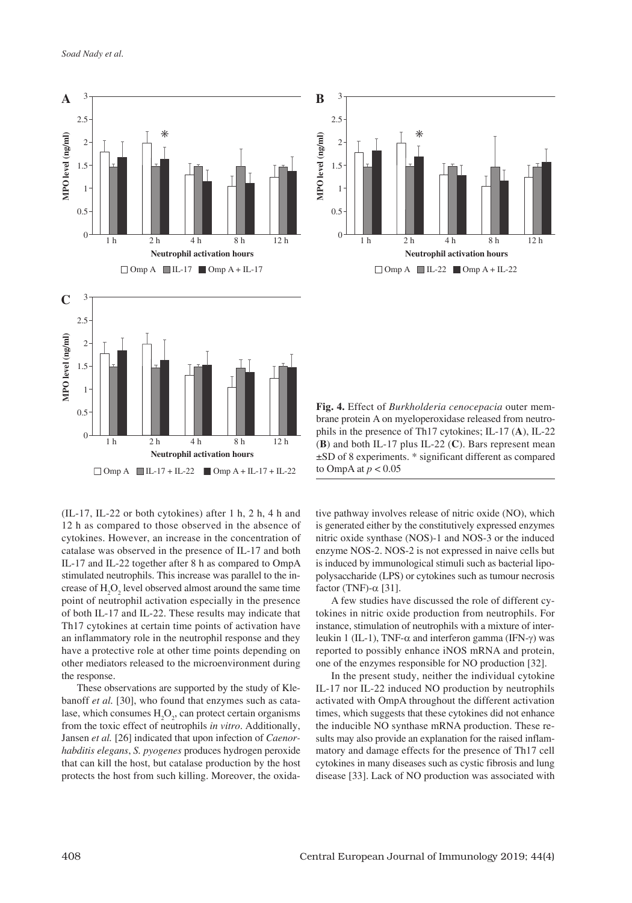

**MPO level (ng/ml)** 3 2.5 2 1.5 1 0.5  $\Omega$ 1 h 2 h 4 h 8 h 12 h 1 h 2 h 4 h 8 h 12 h **Neutrophil activation hours Neutrophil activation hours**

brane protein A on myeloperoxidase released from neutrophils in the presence of Th17 cytokines; IL-17 (**A**), IL-22 (**B**) and both IL-17 plus IL-22 (**C**). Bars represent mean ±SD of 8 experiments. \* significant different as compared to OmpA at *p* < 0.05

**Fig. 4.** Effect of *Burkholderia cenocepacia* outer mem-

(IL-17, IL-22 or both cytokines) after 1 h, 2 h, 4 h and 12 h as compared to those observed in the absence of cytokines. However, an increase in the concentration of catalase was observed in the presence of IL-17 and both IL-17 and IL‑22 together after 8 h as compared to OmpA stimulated neutrophils. This increase was parallel to the increase of  $H_2O_2$  level observed almost around the same time point of neutrophil activation especially in the presence of both IL-17 and IL‑22. These results may indicate that Th17 cytokines at certain time points of activation have an inflammatory role in the neutrophil response and they have a protective role at other time points depending on other mediators released to the microenvironment during the response.

These observations are supported by the study of Klebanoff *et al.* [30], who found that enzymes such as catalase, which consumes  $H_2O_2$ , can protect certain organisms from the toxic effect of neutrophils *in vitro*. Additionally, Jansen *et al.* [26] indicated that upon infection of *Caenorhabditis elegans*, *S. pyogenes* produces hydrogen peroxide that can kill the host, but catalase production by the host protects the host from such killing. Moreover, the oxidative pathway involves release of nitric oxide (NO), which is generated either by the constitutively expressed enzymes nitric oxide synthase (NOS)-1 and NOS-3 or the induced enzyme NOS-2. NOS-2 is not expressed in naive cells but is induced by immunological stimuli such as bacterial lipopolysaccharide (LPS) or cytokines such as tumour necrosis factor (TNF)- $\alpha$  [31].

A few studies have discussed the role of different cytokines in nitric oxide production from neutrophils. For instance, stimulation of neutrophils with a mixture of interleukin 1 (IL-1), TNF- $\alpha$  and interferon gamma (IFN-γ) was reported to possibly enhance iNOS mRNA and protein, one of the enzymes responsible for NO production [32].

In the present study, neither the individual cytokine IL-17 nor IL-22 induced NO production by neutrophils activated with OmpA throughout the different activation times, which suggests that these cytokines did not enhance the inducible NO synthase mRNA production. These results may also provide an explanation for the raised inflammatory and damage effects for the presence of Th17 cell cytokines in many diseases such as cystic fibrosis and lung disease [33]. Lack of NO production was associated with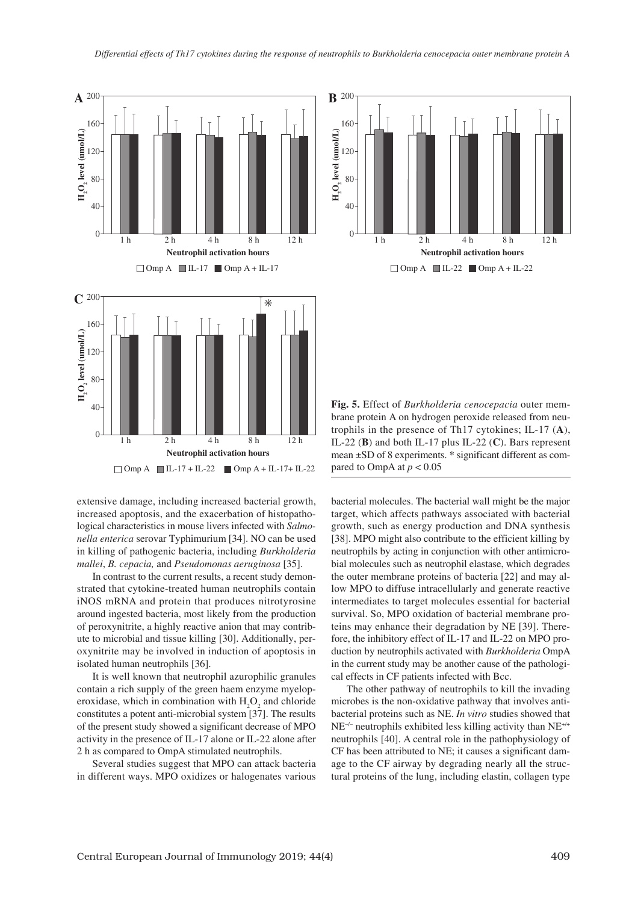

extensive damage, including increased bacterial growth, increased apoptosis, and the exacerbation of histopathological characteristics in mouse livers infected with *Salmonella enterica* serovar Typhimurium [34]. NO can be used in killing of pathogenic bacteria, including *Burkholderia mallei*, *B. cepacia,* and *Pseudomonas aeruginosa* [35].

In contrast to the current results, a recent study demonstrated that cytokine-treated human neutrophils contain iNOS mRNA and protein that produces nitrotyrosine around ingested bacteria, most likely from the production of peroxynitrite, a highly reactive anion that may contribute to microbial and tissue killing [30]. Additionally, peroxynitrite may be involved in induction of apoptosis in isolated human neutrophils [36].

It is well known that neutrophil azurophilic granules contain a rich supply of the green haem enzyme myeloperoxidase, which in combination with  $H_2O_2$  and chloride constitutes a potent anti-microbial system [37]. The results of the present study showed a significant decrease of MPO activity in the presence of IL-17 alone or IL-22 alone after 2 h as compared to OmpA stimulated neutrophils.

Several studies suggest that MPO can attack bacteria in different ways. MPO oxidizes or halogenates various



**Fig. 5.** Effect of *Burkholderia cenocepacia* outer membrane protein A on hydrogen peroxide released from neutrophils in the presence of Th17 cytokines; IL-17 (**A**), IL-22 (**B**) and both IL-17 plus IL-22 (**C**). Bars represent mean ±SD of 8 experiments. \* significant different as compared to OmpA at  $p < 0.05$ 

bacterial molecules. The bacterial wall might be the major target, which affects pathways associated with bacterial growth, such as energy production and DNA synthesis [38]. MPO might also contribute to the efficient killing by neutrophils by acting in conjunction with other antimicrobial molecules such as neutrophil elastase, which degrades the outer membrane proteins of bacteria [22] and may allow MPO to diffuse intracellularly and generate reactive intermediates to target molecules essential for bacterial survival. So, MPO oxidation of bacterial membrane proteins may enhance their degradation by NE [39]. Therefore, the inhibitory effect of IL-17 and IL-22 on MPO production by neutrophils activated with *Burkholderia* OmpA in the current study may be another cause of the pathological effects in CF patients infected with Bcc.

The other pathway of neutrophils to kill the invading microbes is the non-oxidative pathway that involves antibacterial proteins such as NE. *In vitro* studies showed that NE–/– neutrophils exhibited less killing activity than NE+/+ neutrophils [40]. A central role in the pathophysiology of CF has been attributed to NE; it causes a significant damage to the CF airway by degrading nearly all the structural proteins of the lung, including elastin, collagen type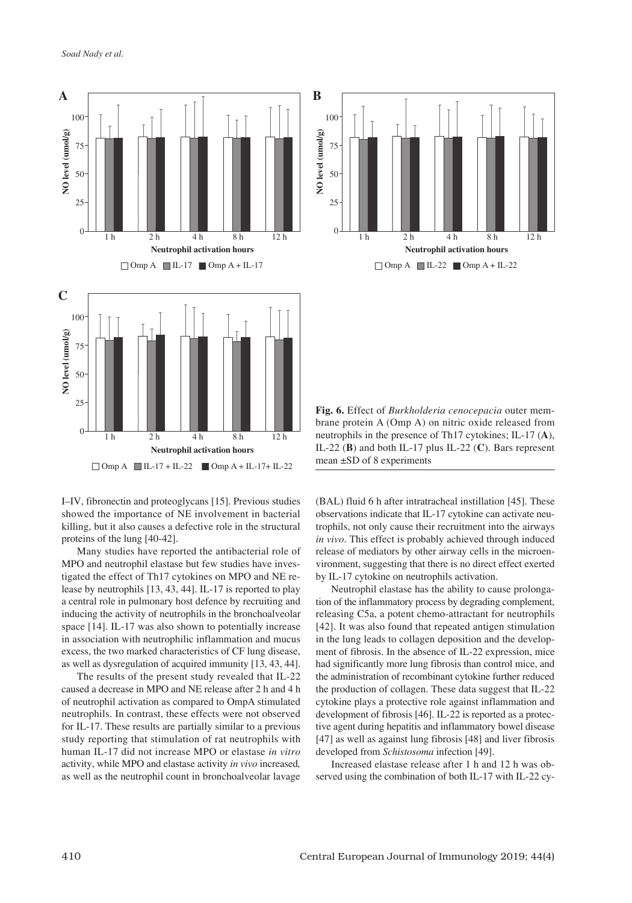



I–IV, fibronectin and proteoglycans [15]. Previous studies showed the importance of NE involvement in bacterial killing, but it also causes a defective role in the structural proteins of the lung [40-42].

Many studies have reported the antibacterial role of MPO and neutrophil elastase but few studies have investigated the effect of Th17 cytokines on MPO and NE release by neutrophils [13, 43, 44]. IL-17 is reported to play a central role in pulmonary host defence by recruiting and inducing the activity of neutrophils in the bronchoalveolar space [14]. IL-17 was also shown to potentially increase in association with neutrophilic inflammation and mucus excess, the two marked characteristics of CF lung disease, as well as dysregulation of acquired immunity [13, 43, 44].

The results of the present study revealed that IL-22 caused a decrease in MPO and NE release after 2 h and 4 h of neutrophil activation as compared to OmpA stimulated neutrophils. In contrast, these effects were not observed for IL-17. These results are partially similar to a previous study reporting that stimulation of rat neutrophils with human IL-17 did not increase MPO or elastase *in vitro* activity, while MPO and elastase activity *in vivo* increased*,* as well as the neutrophil count in bronchoalveolar lavage

**Fig. 6.** Effect of *Burkholderia cenocepacia* outer membrane protein A (Omp A) on nitric oxide released from neutrophils in the presence of Th17 cytokines; IL-17 (**A**), IL-22 (**B**) and both IL-17 plus IL-22 (**C**). Bars represent mean ±SD of 8 experiments

(BAL) fluid 6 h after intratracheal instillation [45]. These observations indicate that IL-17 cytokine can activate neutrophils, not only cause their recruitment into the airways *in vivo*. This effect is probably achieved through induced release of mediators by other airway cells in the microenvironment, suggesting that there is no direct effect exerted by IL-17 cytokine on neutrophils activation.

Neutrophil elastase has the ability to cause prolongation of the inflammatory process by degrading complement, releasing C5a, a potent chemo-attractant for neutrophils [42]. It was also found that repeated antigen stimulation in the lung leads to collagen deposition and the development of fibrosis. In the absence of IL-22 expression, mice had significantly more lung fibrosis than control mice, and the administration of recombinant cytokine further reduced the production of collagen. These data suggest that IL-22 cytokine plays a protective role against inflammation and development of fibrosis [46]. IL-22 is reported as a protective agent during hepatitis and inflammatory bowel disease [47] as well as against lung fibrosis [48] and liver fibrosis developed from *Schistosoma* infection [49].

Increased elastase release after 1 h and 12 h was observed using the combination of both IL-17 with IL-22 cy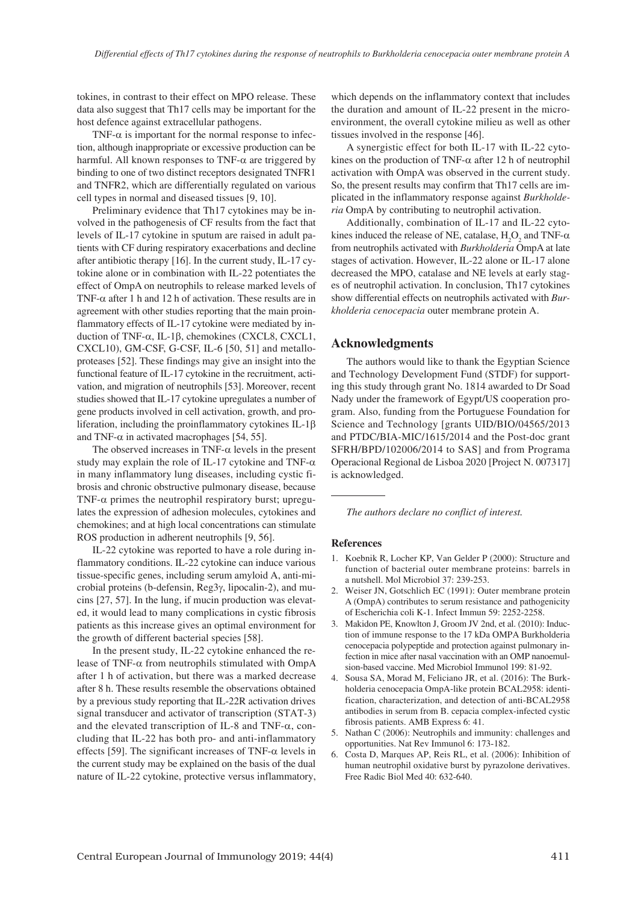tokines, in contrast to their effect on MPO release. These data also suggest that Th17 cells may be important for the host defence against extracellular pathogens.

TNF- $\alpha$  is important for the normal response to infection, although inappropriate or excessive production can be harmful. All known responses to TNF- $\alpha$  are triggered by binding to one of two distinct receptors designated TNFR1 and TNFR2, which are differentially regulated on various cell types in normal and diseased tissues [9, 10].

Preliminary evidence that Th17 cytokines may be involved in the pathogenesis of CF results from the fact that levels of IL-17 cytokine in sputum are raised in adult patients with CF during respiratory exacerbations and decline after antibiotic therapy [16]. In the current study, IL-17 cytokine alone or in combination with IL-22 potentiates the effect of OmpA on neutrophils to release marked levels of TNF- $\alpha$  after 1 h and 12 h of activation. These results are in agreement with other studies reporting that the main proinflammatory effects of IL-17 cytokine were mediated by induction of TNF- $\alpha$ , IL-1β, chemokines (CXCL8, CXCL1, CXCL10), GM-CSF, G-CSF, IL-6 [50, 51] and metalloproteases [52]. These findings may give an insight into the functional feature of IL-17 cytokine in the recruitment, activation, and migration of neutrophils [53]. Moreover, recent studies showed that IL-17 cytokine upregulates a number of gene products involved in cell activation, growth, and proliferation, including the proinflammatory cytokines  $IL-1\beta$ and TNF- $\alpha$  in activated macrophages [54, 55].

The observed increases in TNF- $\alpha$  levels in the present study may explain the role of IL-17 cytokine and TNF- $\alpha$ in many inflammatory lung diseases, including cystic fibrosis and chronic obstructive pulmonary disease, because TNF- $\alpha$  primes the neutrophil respiratory burst; upregulates the expression of adhesion molecules, cytokines and chemokines; and at high local concentrations can stimulate ROS production in adherent neutrophils [9, 56].

IL-22 cytokine was reported to have a role during inflammatory conditions. IL-22 cytokine can induce various tissue-specific genes, including serum amyloid A, anti-microbial proteins (b-defensin, Reg3γ, lipocalin-2), and mucins [27, 57]. In the lung, if mucin production was elevated, it would lead to many complications in cystic fibrosis patients as this increase gives an optimal environment for the growth of different bacterial species [58].

In the present study, IL-22 cytokine enhanced the release of TNF-α from neutrophils stimulated with OmpA after 1 h of activation, but there was a marked decrease after 8 h. These results resemble the observations obtained by a previous study reporting that IL-22R activation drives signal transducer and activator of transcription (STAT-3) and the elevated transcription of IL-8 and TNF-α, concluding that IL-22 has both pro- and anti-inflammatory effects [59]. The significant increases of TNF- $\alpha$  levels in the current study may be explained on the basis of the dual nature of IL-22 cytokine, protective versus inflammatory,

which depends on the inflammatory context that includes the duration and amount of IL-22 present in the microenvironment, the overall cytokine milieu as well as other tissues involved in the response [46].

A synergistic effect for both IL-17 with IL-22 cytokines on the production of TNF- $\alpha$  after 12 h of neutrophil activation with OmpA was observed in the current study. So, the present results may confirm that Th17 cells are implicated in the inflammatory response against *Burkholderia* OmpA by contributing to neutrophil activation.

Additionally, combination of IL-17 and IL-22 cytokines induced the release of NE, catalase,  $H_2O_2$  and TNF- $\alpha$ from neutrophils activated with *Burkholderia* OmpA at late stages of activation. However, IL-22 alone or IL-17 alone decreased the MPO, catalase and NE levels at early stages of neutrophil activation. In conclusion, Th17 cytokines show differential effects on neutrophils activated with *Burkholderia cenocepacia* outer membrane protein A.

#### **Acknowledgments**

The authors would like to thank the Egyptian Science and Technology Development Fund (STDF) for supporting this study through grant No. 1814 awarded to Dr Soad Nady under the framework of Egypt/US cooperation program. Also, funding from the Portuguese Foundation for Science and Technology [grants UID/BIO/04565/2013 and PTDC/BIA-MIC/1615/2014 and the Post-doc grant SFRH/BPD/102006/2014 to SAS] and from Programa Operacional Regional de Lisboa 2020 [Project N. 007317] is acknowledged.

*The authors declare no conflict of interest.*

#### **References**

- 1. Koebnik R, Locher KP, Van Gelder P (2000): Structure and function of bacterial outer membrane proteins: barrels in a nutshell. Mol Microbiol 37: 239-253.
- 2. Weiser JN, Gotschlich EC (1991): Outer membrane protein A (OmpA) contributes to serum resistance and pathogenicity of Escherichia coli K-1. Infect Immun 59: 2252-2258.
- 3. Makidon PE, Knowlton J, Groom JV 2nd, et al. (2010): Induction of immune response to the 17 kDa OMPA Burkholderia cenocepacia polypeptide and protection against pulmonary infection in mice after nasal vaccination with an OMP nanoemulsion-based vaccine. Med Microbiol Immunol 199: 81-92.
- 4. Sousa SA, Morad M, Feliciano JR, et al. (2016): The Burkholderia cenocepacia OmpA-like protein BCAL2958: identification, characterization, and detection of anti-BCAL2958 antibodies in serum from B. cepacia complex-infected cystic fibrosis patients. AMB Express 6: 41.
- 5. Nathan C (2006): Neutrophils and immunity: challenges and opportunities. Nat Rev Immunol 6: 173-182.
- 6. Costa D, Marques AP, Reis RL, et al. (2006): Inhibition of human neutrophil oxidative burst by pyrazolone derivatives. Free Radic Biol Med 40: 632-640.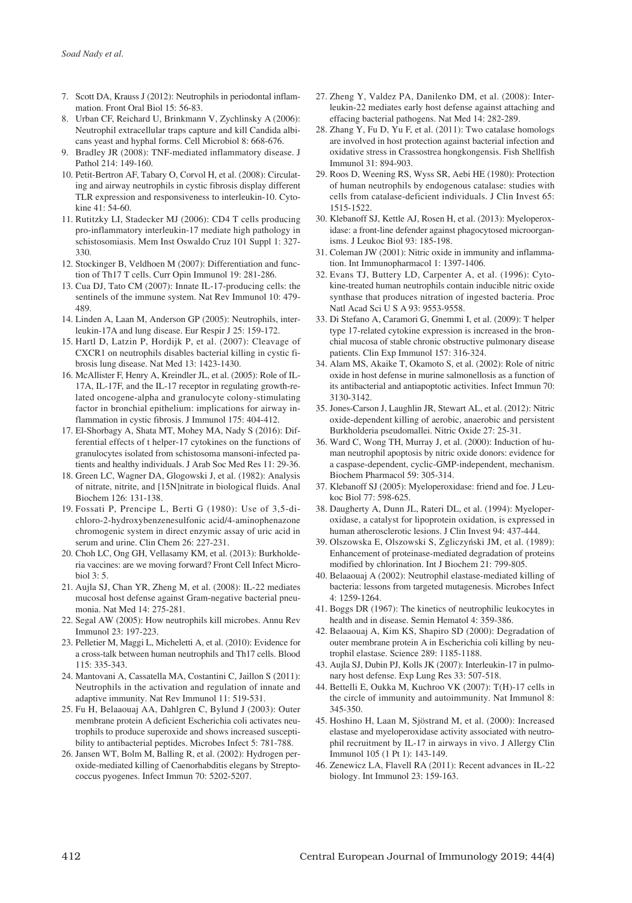- 7. Scott DA, Krauss J (2012): Neutrophils in periodontal inflammation. Front Oral Biol 15: 56-83.
- 8. Urban CF, Reichard U, Brinkmann V, Zychlinsky A (2006): Neutrophil extracellular traps capture and kill Candida albicans yeast and hyphal forms. Cell Microbiol 8: 668-676.
- 9. Bradley JR (2008): TNF-mediated inflammatory disease. J Pathol 214: 149-160.
- 10. Petit-Bertron AF, Tabary O, Corvol H, et al. (2008): Circulating and airway neutrophils in cystic fibrosis display different TLR expression and responsiveness to interleukin-10. Cytokine 41: 54-60.
- 11. Rutitzky LI, Stadecker MJ (2006): CD4 T cells producing pro-inflammatory interleukin-17 mediate high pathology in schistosomiasis. Mem Inst Oswaldo Cruz 101 Suppl 1: 327- 330.
- 12. Stockinger B, Veldhoen M (2007): Differentiation and function of Th17 T cells. Curr Opin Immunol 19: 281-286.
- 13. Cua DJ, Tato CM (2007): Innate IL-17-producing cells: the sentinels of the immune system. Nat Rev Immunol 10: 479- 489.
- 14. Linden A, Laan M, Anderson GP (2005): Neutrophils, interleukin-17A and lung disease. Eur Respir J 25: 159-172.
- 15. Hartl D, Latzin P, Hordijk P, et al. (2007): Cleavage of CXCR1 on neutrophils disables bacterial killing in cystic fibrosis lung disease. Nat Med 13: 1423-1430.
- 16. McAllister F, Henry A, Kreindler JL, et al. (2005): Role of IL-17A, IL-17F, and the IL-17 receptor in regulating growth-related oncogene-alpha and granulocyte colony-stimulating factor in bronchial epithelium: implications for airway inflammation in cystic fibrosis. J Immunol 175: 404-412.
- 17. El-Shorbagy A, Shata MT, Mohey MA, Nady S (2016): Differential effects of t helper-17 cytokines on the functions of granulocytes isolated from schistosoma mansoni-infected patients and healthy individuals. J Arab Soc Med Res 11: 29-36.
- 18. Green LC, Wagner DA, Glogowski J, et al. (1982): Analysis of nitrate, nitrite, and [15N]nitrate in biological fluids. Anal Biochem 126: 131-138.
- 19. Fossati P, Prencipe L, Berti G (1980): Use of 3,5-dichloro-2-hydroxybenzenesulfonic acid/4-aminophenazone chromogenic system in direct enzymic assay of uric acid in serum and urine. Clin Chem 26: 227-231.
- 20. Choh LC, Ong GH, Vellasamy KM, et al. (2013): Burkholderia vaccines: are we moving forward? Front Cell Infect Microbiol 3: 5.
- 21. Aujla SJ, Chan YR, Zheng M, et al. (2008): IL-22 mediates mucosal host defense against Gram-negative bacterial pneumonia. Nat Med 14: 275-281.
- 22. Segal AW (2005): How neutrophils kill microbes. Annu Rev Immunol 23: 197-223.
- 23. Pelletier M, Maggi L, Micheletti A, et al. (2010): Evidence for a cross-talk between human neutrophils and Th17 cells. Blood 115: 335-343.
- 24. Mantovani A, Cassatella MA, Costantini C, Jaillon S (2011): Neutrophils in the activation and regulation of innate and adaptive immunity. Nat Rev Immunol 11: 519-531.
- 25. Fu H, Belaaouaj AA, Dahlgren C, Bylund J (2003): Outer membrane protein A deficient Escherichia coli activates neutrophils to produce superoxide and shows increased susceptibility to antibacterial peptides. Microbes Infect 5: 781-788.
- 26. Jansen WT, Bolm M, Balling R, et al. (2002): Hydrogen peroxide-mediated killing of Caenorhabditis elegans by Streptococcus pyogenes. Infect Immun 70: 5202-5207.
- 27. Zheng Y, Valdez PA, Danilenko DM, et al. (2008): Interleukin-22 mediates early host defense against attaching and effacing bacterial pathogens. Nat Med 14: 282-289.
- 28. Zhang Y, Fu D, Yu F, et al. (2011): Two catalase homologs are involved in host protection against bacterial infection and oxidative stress in Crassostrea hongkongensis. Fish Shellfish Immunol 31: 894-903.
- 29. Roos D, Weening RS, Wyss SR, Aebi HE (1980): Protection of human neutrophils by endogenous catalase: studies with cells from catalase-deficient individuals. J Clin Invest 65: 1515-1522.
- 30. Klebanoff SJ, Kettle AJ, Rosen H, et al. (2013): Myeloperoxidase: a front-line defender against phagocytosed microorganisms. J Leukoc Biol 93: 185-198.
- 31. Coleman JW (2001): Nitric oxide in immunity and inflammation. Int Immunopharmacol 1: 1397-1406.
- 32. Evans TJ, Buttery LD, Carpenter A, et al. (1996): Cytokine-treated human neutrophils contain inducible nitric oxide synthase that produces nitration of ingested bacteria. Proc Natl Acad Sci U S A 93: 9553-9558.
- 33. Di Stefano A, Caramori G, Gnemmi I, et al. (2009): T helper type 17-related cytokine expression is increased in the bronchial mucosa of stable chronic obstructive pulmonary disease patients. Clin Exp Immunol 157: 316-324.
- 34. Alam MS, Akaike T, Okamoto S, et al. (2002): Role of nitric oxide in host defense in murine salmonellosis as a function of its antibacterial and antiapoptotic activities. Infect Immun 70: 3130-3142.
- 35. Jones-Carson J, Laughlin JR, Stewart AL, et al. (2012): Nitric oxide-dependent killing of aerobic, anaerobic and persistent Burkholderia pseudomallei. Nitric Oxide 27: 25-31.
- 36. Ward C, Wong TH, Murray J, et al. (2000): Induction of human neutrophil apoptosis by nitric oxide donors: evidence for a caspase-dependent, cyclic-GMP-independent, mechanism. Biochem Pharmacol 59: 305-314.
- 37. Klebanoff SJ (2005): Myeloperoxidase: friend and foe. J Leukoc Biol 77: 598-625.
- 38. Daugherty A, Dunn JL, Rateri DL, et al. (1994): Myeloperoxidase, a catalyst for lipoprotein oxidation, is expressed in human atherosclerotic lesions. J Clin Invest 94: 437-444.
- 39. Olszowska E, Olszowski S, Zgliczyński JM, et al. (1989): Enhancement of proteinase-mediated degradation of proteins modified by chlorination. Int J Biochem 21: 799-805.
- 40. Belaaouaj A (2002): Neutrophil elastase-mediated killing of bacteria: lessons from targeted mutagenesis. Microbes Infect 4: 1259-1264.
- 41. Boggs DR (1967): The kinetics of neutrophilic leukocytes in health and in disease. Semin Hematol 4: 359-386.
- 42. Belaaouaj A, Kim KS, Shapiro SD (2000): Degradation of outer membrane protein A in Escherichia coli killing by neutrophil elastase. Science 289: 1185-1188.
- 43. Aujla SJ, Dubin PJ, Kolls JK (2007): Interleukin-17 in pulmonary host defense. Exp Lung Res 33: 507-518.
- 44. Bettelli E, Oukka M, Kuchroo VK (2007): T(H)-17 cells in the circle of immunity and autoimmunity. Nat Immunol 8: 345-350.
- 45. Hoshino H, Laan M, Sjöstrand M, et al. (2000): Increased elastase and myeloperoxidase activity associated with neutrophil recruitment by IL-17 in airways in vivo. J Allergy Clin Immunol 105 (1 Pt 1): 143-149.
- 46. Zenewicz LA, Flavell RA (2011): Recent advances in IL-22 biology. Int Immunol 23: 159-163.